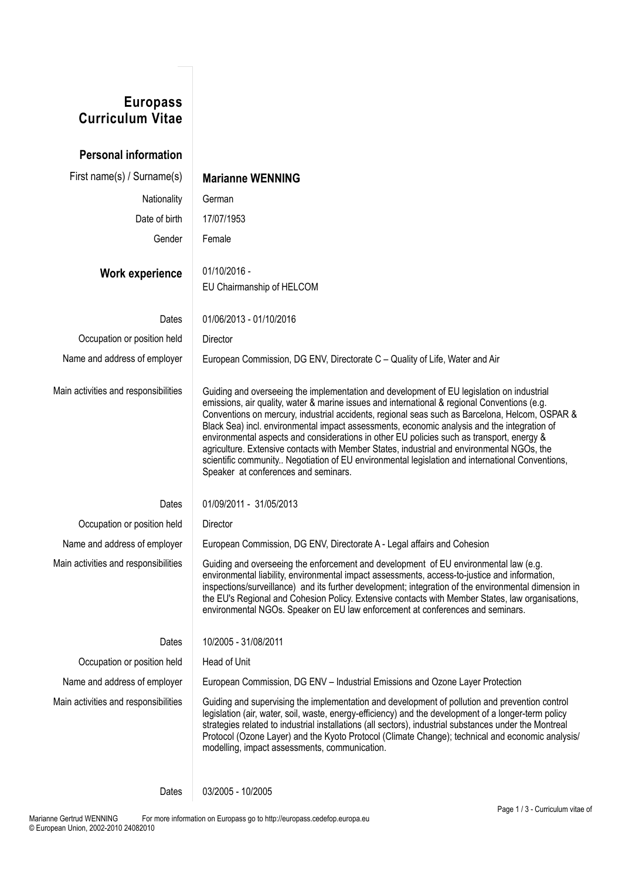## **Europass Curriculum Vitae**

**Personal information** First name(s) / Surname(s) **Marianne WENNING**  Nationality German Date of birth 17/07/1953 Gender Female **Work experience** 01/10/2016 - EU Chairmanship of HELCOM Dates 01/06/2013 - 01/10/2016 Occupation or position held Director Name and address of employer European Commission, DG ENV, Directorate C - Quality of Life, Water and Air Main activities and responsibilities Guiding and overseeing the implementation and development of EU legislation on industrial emissions, air quality, water & marine issues and international & regional Conventions (e.g. Conventions on mercury, industrial accidents, regional seas such as Barcelona, Helcom, OSPAR & Black Sea) incl. environmental impact assessments, economic analysis and the integration of environmental aspects and considerations in other EU policies such as transport, energy & agriculture. Extensive contacts with Member States, industrial and environmental NGOs, the scientific community.. Negotiation of EU environmental legislation and international Conventions, Speaker at conferences and seminars. Dates 01/09/2011 - 31/05/2013 Occupation or position held Director Name and address of employer European Commission, DG ENV, Directorate A - Legal affairs and Cohesion Main activities and responsibilities Guiding and overseeing the enforcement and development of EU environmental law (e.g. environmental liability, environmental impact assessments, access-to-justice and information, inspections/surveillance) and its further development; integration of the environmental dimension in the EU's Regional and Cohesion Policy. Extensive contacts with Member States, law organisations, environmental NGOs. Speaker on EU law enforcement at conferences and seminars. Dates 10/2005 - 31/08/2011 Occupation or position held Head of Unit Name and address of employer European Commission, DG ENV – Industrial Emissions and Ozone Layer Protection Main activities and responsibilities Guiding and supervising the implementation and development of pollution and prevention control legislation (air, water, soil, waste, energy-efficiency) and the development of a longer-term policy strategies related to industrial installations (all sectors), industrial substances under the Montreal Protocol (Ozone Layer) and the Kyoto Protocol (Climate Change); technical and economic analysis/ modelling, impact assessments, communication.

Dates 03/2005 - 10/2005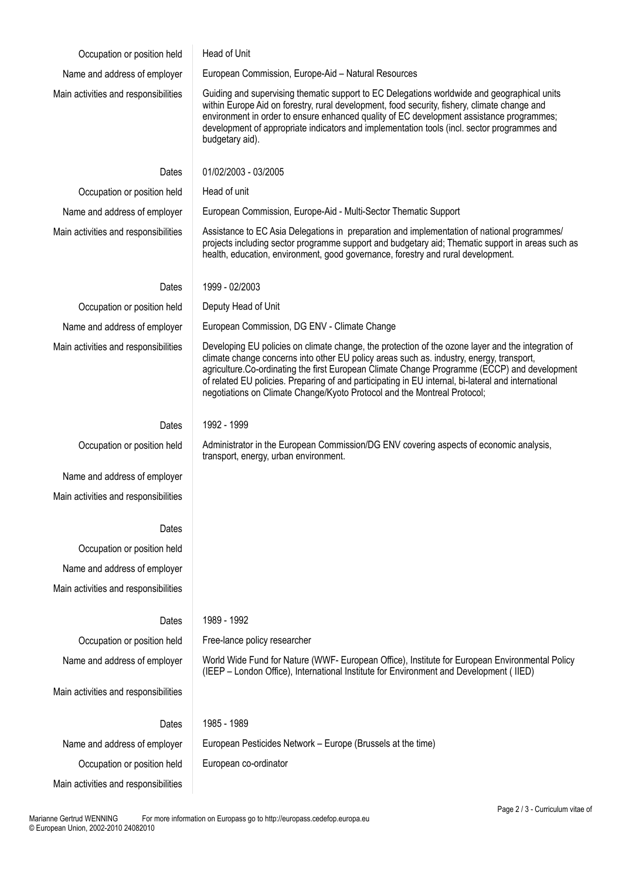| Occupation or position held          | Head of Unit                                                                                                                                                                                                                                                                                                                                                                                                                                                                      |
|--------------------------------------|-----------------------------------------------------------------------------------------------------------------------------------------------------------------------------------------------------------------------------------------------------------------------------------------------------------------------------------------------------------------------------------------------------------------------------------------------------------------------------------|
| Name and address of employer         | European Commission, Europe-Aid - Natural Resources                                                                                                                                                                                                                                                                                                                                                                                                                               |
| Main activities and responsibilities | Guiding and supervising thematic support to EC Delegations worldwide and geographical units<br>within Europe Aid on forestry, rural development, food security, fishery, climate change and<br>environment in order to ensure enhanced quality of EC development assistance programmes;<br>development of appropriate indicators and implementation tools (incl. sector programmes and<br>budgetary aid).                                                                         |
| Dates                                | 01/02/2003 - 03/2005                                                                                                                                                                                                                                                                                                                                                                                                                                                              |
| Occupation or position held          | Head of unit                                                                                                                                                                                                                                                                                                                                                                                                                                                                      |
| Name and address of employer         | European Commission, Europe-Aid - Multi-Sector Thematic Support                                                                                                                                                                                                                                                                                                                                                                                                                   |
| Main activities and responsibilities | Assistance to EC Asia Delegations in preparation and implementation of national programmes/<br>projects including sector programme support and budgetary aid; Thematic support in areas such as<br>health, education, environment, good governance, forestry and rural development.                                                                                                                                                                                               |
| Dates                                | 1999 - 02/2003                                                                                                                                                                                                                                                                                                                                                                                                                                                                    |
| Occupation or position held          | Deputy Head of Unit                                                                                                                                                                                                                                                                                                                                                                                                                                                               |
| Name and address of employer         | European Commission, DG ENV - Climate Change                                                                                                                                                                                                                                                                                                                                                                                                                                      |
| Main activities and responsibilities | Developing EU policies on climate change, the protection of the ozone layer and the integration of<br>climate change concerns into other EU policy areas such as. industry, energy, transport,<br>agriculture.Co-ordinating the first European Climate Change Programme (ECCP) and development<br>of related EU policies. Preparing of and participating in EU internal, bi-lateral and international<br>negotiations on Climate Change/Kyoto Protocol and the Montreal Protocol; |
| Dates                                | 1992 - 1999                                                                                                                                                                                                                                                                                                                                                                                                                                                                       |
| Occupation or position held          | Administrator in the European Commission/DG ENV covering aspects of economic analysis,<br>transport, energy, urban environment.                                                                                                                                                                                                                                                                                                                                                   |
| Name and address of employer         |                                                                                                                                                                                                                                                                                                                                                                                                                                                                                   |
| Main activities and responsibilities |                                                                                                                                                                                                                                                                                                                                                                                                                                                                                   |
| Dates                                |                                                                                                                                                                                                                                                                                                                                                                                                                                                                                   |
| Occupation or position held          |                                                                                                                                                                                                                                                                                                                                                                                                                                                                                   |
| Name and address of employer         |                                                                                                                                                                                                                                                                                                                                                                                                                                                                                   |
| Main activities and responsibilities |                                                                                                                                                                                                                                                                                                                                                                                                                                                                                   |
| Dates                                | 1989 - 1992                                                                                                                                                                                                                                                                                                                                                                                                                                                                       |
| Occupation or position held          | Free-lance policy researcher                                                                                                                                                                                                                                                                                                                                                                                                                                                      |
| Name and address of employer         | World Wide Fund for Nature (WWF- European Office), Institute for European Environmental Policy<br>(IEEP - London Office), International Institute for Environment and Development (IIED)                                                                                                                                                                                                                                                                                          |
| Main activities and responsibilities |                                                                                                                                                                                                                                                                                                                                                                                                                                                                                   |
| Dates                                | 1985 - 1989                                                                                                                                                                                                                                                                                                                                                                                                                                                                       |
| Name and address of employer         | European Pesticides Network – Europe (Brussels at the time)                                                                                                                                                                                                                                                                                                                                                                                                                       |
| Occupation or position held          | European co-ordinator                                                                                                                                                                                                                                                                                                                                                                                                                                                             |
| Main activities and responsibilities |                                                                                                                                                                                                                                                                                                                                                                                                                                                                                   |